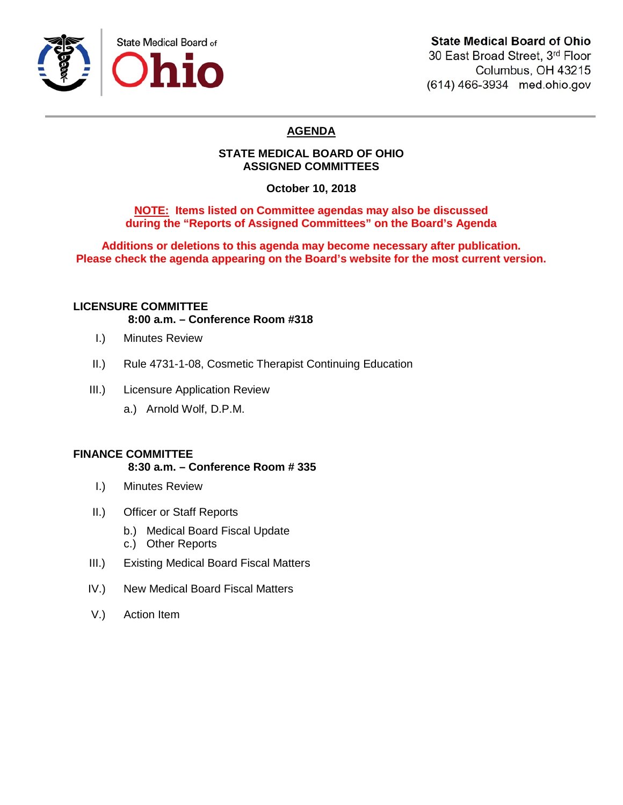

# **State Medical Board of Ohio**

30 East Broad Street, 3rd Floor Columbus, OH 43215 (614) 466-3934 med.ohio.gov

# **AGENDA**

# **STATE MEDICAL BOARD OF OHIO ASSIGNED COMMITTEES**

**October 10, 2018**

# **NOTE: Items listed on Committee agendas may also be discussed during the "Reports of Assigned Committees" on the Board's Agenda**

**Additions or deletions to this agenda may become necessary after publication. Please check the agenda appearing on the Board's website for the most current version.**

# **LICENSURE COMMITTEE**

**8:00 a.m. – Conference Room #318**

- I.) Minutes Review
- II.) Rule 4731-1-08, Cosmetic Therapist Continuing Education
- III.) Licensure Application Review
	- a.) Arnold Wolf, D.P.M.

# **FINANCE COMMITTEE**

**8:30 a.m. – Conference Room # 335**

- I.) Minutes Review
- II.) Officer or Staff Reports
	- b.) Medical Board Fiscal Update
	- c.) Other Reports
- III.) Existing Medical Board Fiscal Matters
- IV.) New Medical Board Fiscal Matters
- V.) Action Item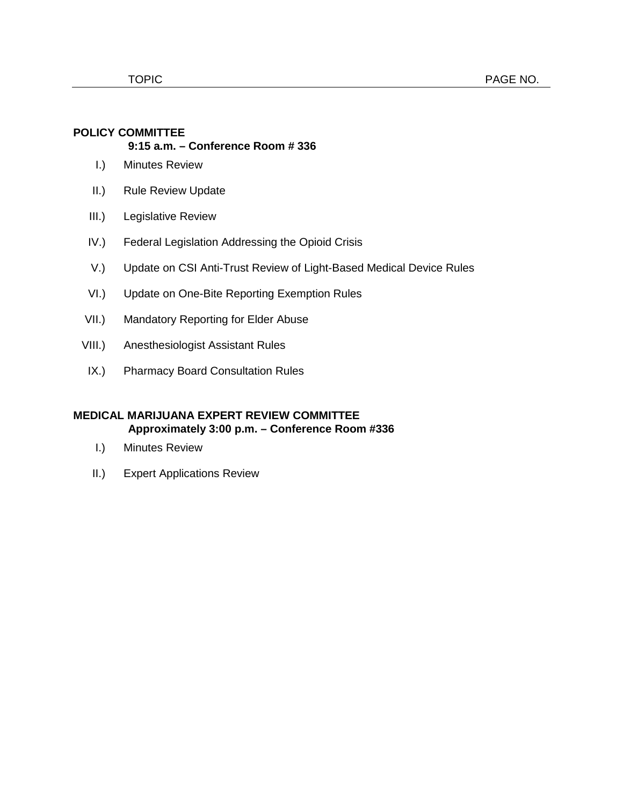#### **POLICY COMMITTEE 9:15 a.m. – Conference Room # 336**

- I.) Minutes Review
- II.) Rule Review Update
- III.) Legislative Review
- IV.) Federal Legislation Addressing the Opioid Crisis
- V.) Update on CSI Anti-Trust Review of Light-Based Medical Device Rules
- VI.) Update on One-Bite Reporting Exemption Rules
- VII.) Mandatory Reporting for Elder Abuse
- VIII.) Anesthesiologist Assistant Rules
- IX.) Pharmacy Board Consultation Rules

# **MEDICAL MARIJUANA EXPERT REVIEW COMMITTEE Approximately 3:00 p.m. – Conference Room #336**

- I.) Minutes Review
- II.) Expert Applications Review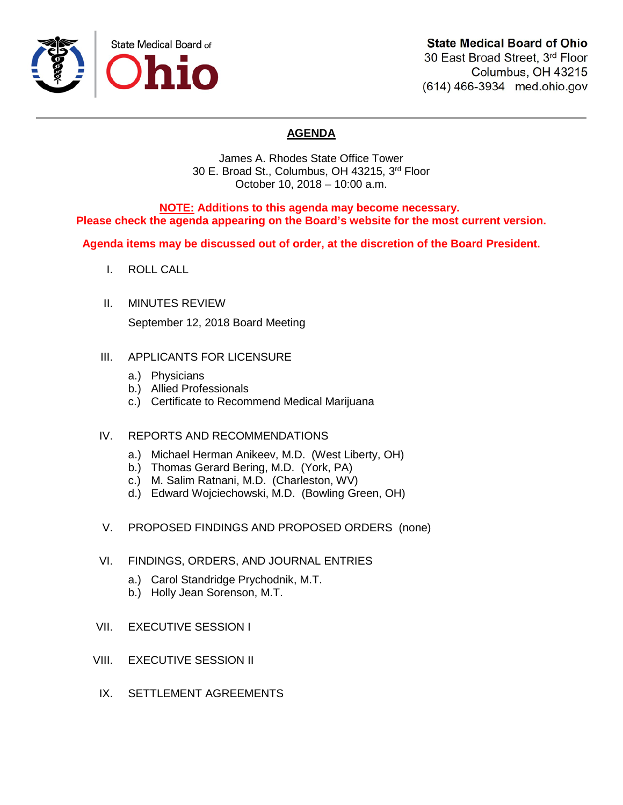

# **State Medical Board of Ohio**

30 East Broad Street, 3rd Floor Columbus, OH 43215 (614) 466-3934 med.ohio.gov

# **AGENDA**

James A. Rhodes State Office Tower 30 E. Broad St., Columbus, OH 43215, 3rd Floor October 10, 2018 – 10:00 a.m.

**NOTE: Additions to this agenda may become necessary. Please check the agenda appearing on the Board's website for the most current version.**

**Agenda items may be discussed out of order, at the discretion of the Board President.**

- I. ROLL CALL
- II. MINUTES REVIEW

September 12, 2018 Board Meeting

- III. APPLICANTS FOR LICENSURE
	- a.) Physicians
	- b.) Allied Professionals
	- c.) Certificate to Recommend Medical Marijuana
- IV. REPORTS AND RECOMMENDATIONS
	- a.) Michael Herman Anikeev, M.D. (West Liberty, OH)
	- b.) Thomas Gerard Bering, M.D. (York, PA)
	- c.) M. Salim Ratnani, M.D. (Charleston, WV)
	- d.) Edward Wojciechowski, M.D. (Bowling Green, OH)
- V. PROPOSED FINDINGS AND PROPOSED ORDERS (none)
- VI. FINDINGS, ORDERS, AND JOURNAL ENTRIES
	- a.) Carol Standridge Prychodnik, M.T.
	- b.) Holly Jean Sorenson, M.T.
- VII. EXECUTIVE SESSION I
- VIII. EXECUTIVE SESSION II
- IX. SETTLEMENT AGREEMENTS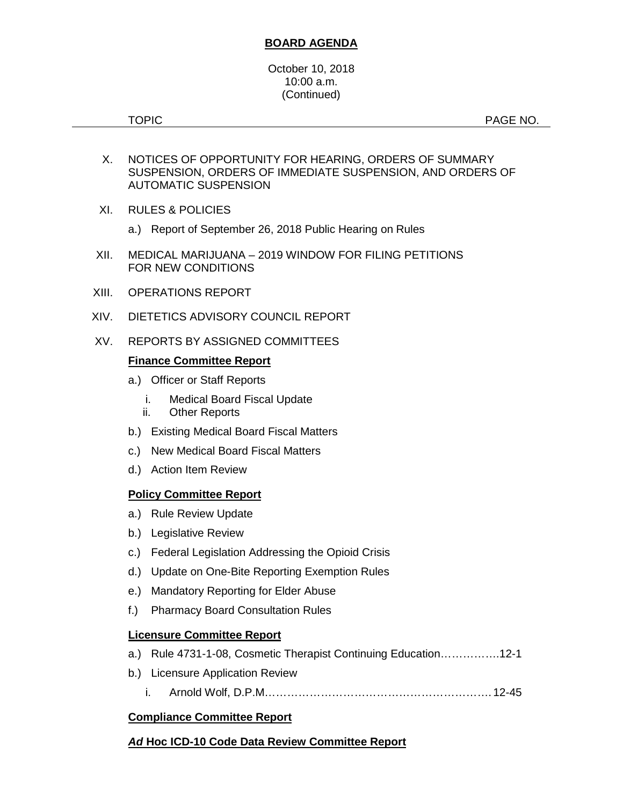# **BOARD AGENDA**

#### October 10, 2018 10:00 a.m. (Continued)

TOPIC **PAGE NO.** 

- X. NOTICES OF OPPORTUNITY FOR HEARING, ORDERS OF SUMMARY SUSPENSION, ORDERS OF IMMEDIATE SUSPENSION, AND ORDERS OF AUTOMATIC SUSPENSION
- XI. RULES & POLICIES
	- a.) Report of September 26, 2018 Public Hearing on Rules
- XII. MEDICAL MARIJUANA 2019 WINDOW FOR FILING PETITIONS FOR NEW CONDITIONS
- XIII. OPERATIONS REPORT
- XIV. DIETETICS ADVISORY COUNCIL REPORT
- XV. REPORTS BY ASSIGNED COMMITTEES

### **Finance Committee Report**

- a.) Officer or Staff Reports
	- i. Medical Board Fiscal Update
	- ii. Other Reports
- b.) Existing Medical Board Fiscal Matters
- c.) New Medical Board Fiscal Matters
- d.) Action Item Review

# **Policy Committee Report**

- a.) Rule Review Update
- b.) Legislative Review
- c.) Federal Legislation Addressing the Opioid Crisis
- d.) Update on One-Bite Reporting Exemption Rules
- e.) Mandatory Reporting for Elder Abuse
- f.) Pharmacy Board Consultation Rules

#### **Licensure Committee Report**

- a.) Rule 4731-1-08, Cosmetic Therapist Continuing Education…………….12-1
- b.) Licensure Application Review
	- i. Arnold Wolf, D.P.M……………………………………………………. 12-45

# **Compliance Committee Report**

# *Ad* **Hoc ICD-10 Code Data Review Committee Report**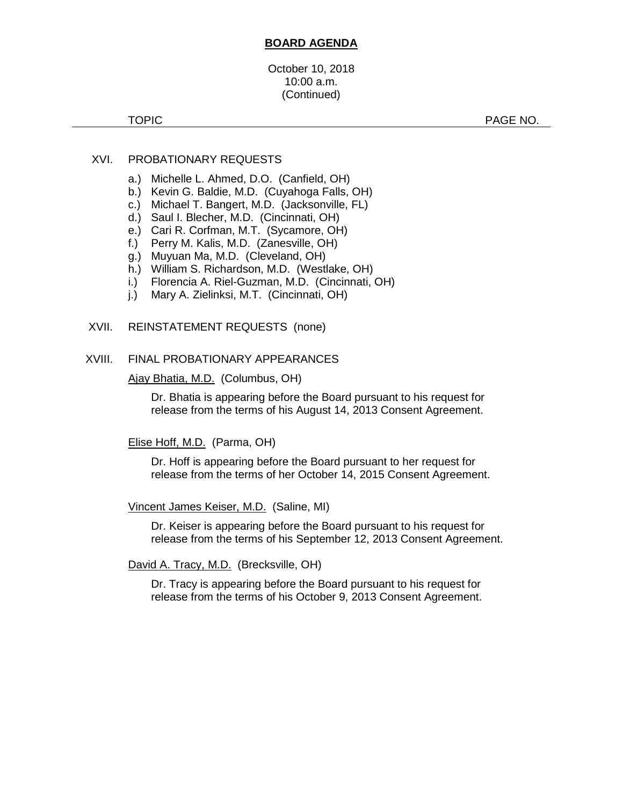### **BOARD AGENDA**

October 10, 2018 10:00 a.m. (Continued)

TOPIC **PAGE NO.** 

### XVI. PROBATIONARY REQUESTS

- a.) Michelle L. Ahmed, D.O. (Canfield, OH)
- b.) Kevin G. Baldie, M.D. (Cuyahoga Falls, OH)
- c.) Michael T. Bangert, M.D. (Jacksonville, FL)
- d.) Saul I. Blecher, M.D. (Cincinnati, OH)
- e.) Cari R. Corfman, M.T. (Sycamore, OH)
- f.) Perry M. Kalis, M.D. (Zanesville, OH)
- g.) Muyuan Ma, M.D. (Cleveland, OH)
- h.) William S. Richardson, M.D. (Westlake, OH)
- i.) Florencia A. Riel-Guzman, M.D. (Cincinnati, OH)
- j.) Mary A. Zielinksi, M.T. (Cincinnati, OH)

#### XVII. REINSTATEMENT REQUESTS (none)

#### XVIII. FINAL PROBATIONARY APPEARANCES

Ajay Bhatia, M.D. (Columbus, OH)

Dr. Bhatia is appearing before the Board pursuant to his request for release from the terms of his August 14, 2013 Consent Agreement.

#### Elise Hoff, M.D. (Parma, OH)

Dr. Hoff is appearing before the Board pursuant to her request for release from the terms of her October 14, 2015 Consent Agreement.

Vincent James Keiser, M.D. (Saline, MI)

Dr. Keiser is appearing before the Board pursuant to his request for release from the terms of his September 12, 2013 Consent Agreement.

David A. Tracy, M.D. (Brecksville, OH)

Dr. Tracy is appearing before the Board pursuant to his request for release from the terms of his October 9, 2013 Consent Agreement.